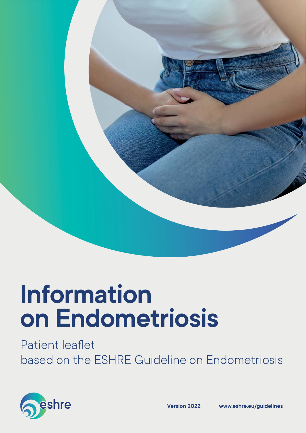

# **Information on Endometriosis**

Patient leaflet based on the ESHRE Guideline on Endometriosis

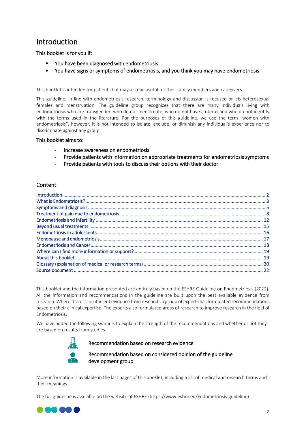# Introduction

This booklet is for you if:

- You have been diagnosed with endometriosis
- You have signs or symptoms of endometriosis, and you think you may have endometriosis

This booklet is intended for patients but may also be useful for their family members and caregivers.

This guideline, in line with endometriosis research, terminology and discussion is focused on cis heterosexual females and menstruation. The guideline group recognizes that there are many individuals living with endometriosis who are transgender, who do not menstruate, who do not have a uterus and who do not identify with the terms used in the literature. For the purposes of this guideline, we use the term "women with endometriosis", however, it is not intended to isolate, exclude, or diminish any individual's experience nor to discriminate against any group.

#### This booklet aims to:

- Increase awareness on endometriosis
- Provide patients with information on appropriate treatments for endometriosis symptoms
- Provide patients with tools to discuss their options with their doctor.

#### Content

This booklet and the information presented are entirely based on the ESHRE Guideline on Endometriosis (2022). All the information and recommendations in the guideline are built upon the best available evidence from research. Where there is insufficient evidence from research, a group of experts hasformulated recommendations based on their clinical expertise. The experts also formulated areas of research to improve research in the field of Endometriosis.

We have added the following symbols to explain the strength of the recommendations and whether or not they are based on results from studies.



#### Recommendation based on research evidence

Recommendation based on considered opinion of the guideline development group

More information is available in the last pages of this booklet, including a list of medical and research terms and their meanings.

The full guideline is available on the website of ESHRE (https://www.eshre.eu/Endometriosis-guideline)

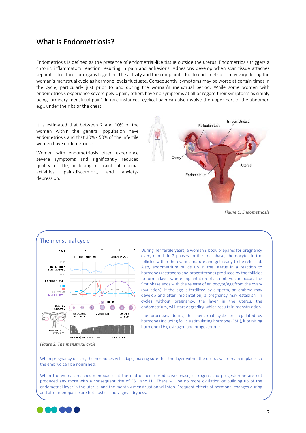# What is Endometriosis?

Endometriosis is defined as the presence of endometrial-like tissue outside the uterus. Endometriosis triggers a chronic inflammatory reaction resulting in pain and adhesions. Adhesions develop when scar tissue attaches separate structures or organs together. The activity and the complaints due to endometriosis may vary during the woman's menstrual cycle as hormone levels fluctuate. Consequently, symptoms may be worse at certain times in the cycle, particularly just prior to and during the woman's menstrual period. While some women with endometriosis experience severe pelvic pain, others have no symptoms at all or regard their symptoms as simply being 'ordinary menstrual pain'. In rare instances, cyclical pain can also involve the upper part of the abdomen e.g., under the ribs or the chest.

It is estimated that between 2 and 10% of the women within the general population have endometriosis and that 30% - 50% of the infertile women have endometriosis.

Women with endometriosis often experience severe symptoms and significantly reduced quality of life, including restraint of normal activities, pain/discomfort, and anxiety/ depression.



*Figure 1. Endometriosis*



During her fertile years, a woman's body prepares for pregnancy every month in 2 phases. In the first phase, the oocytes in the follicles within the ovaries mature and get ready to be released. Also, endometrium builds up in the uterus in a reaction to hormones (estrogens and progesterone) produced by the follicles to form a layer where implantation of an embryo can occur. The first phase ends with the release of an oocyte/egg from the ovary (ovulation). If the egg is fertilized by a sperm, an embryo may develop and after implantation, a pregnancy may establish. In cycles without pregnancy, the layer in the uterus, the endometrium, will start degrading which results in menstruation.

The processes during the menstrual cycle are regulated by hormones including follicle stimulating hormone (FSH), luteinizing hormone (LH), estrogen and progesterone.

When pregnancy occurs, the hormones will adapt, making sure that the layer within the uterus will remain in place, so the embryo can be nourished.

When the woman reaches menopause at the end of her reproductive phase, estrogens and progesterone are not produced any more with a consequent rise of FSH and LH. There will be no more ovulation or building up of the endometrial layer in the uterus, and the monthly menstruation will stop. Frequent effects of hormonal changes during and after menopause are hot flushes and vaginal dryness.



*Figure 2. The menstrual cycle*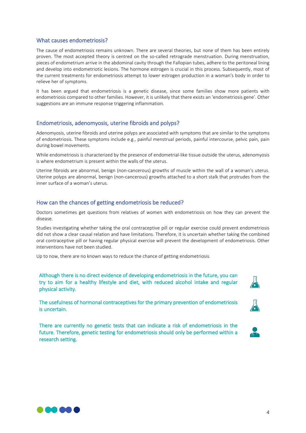#### What causes endometriosis?

The cause of endometriosis remains unknown. There are several theories, but none of them has been entirely proven. The most accepted theory is centred on the so-called retrograde menstruation. During menstruation, pieces of endometrium arrive in the abdominal cavity through the Fallopian tubes, adhere to the peritoneal lining and develop into endometriotic lesions. The hormone estrogen is crucial in this process. Subsequently, most of the current treatments for endometriosis attempt to lower estrogen production in a woman's body in order to relieve her of symptoms.

It has been argued that endometriosis is a genetic disease, since some families show more patients with endometriosis compared to other families. However, it is unlikely that there exists an 'endometriosis gene'. Other suggestions are an immune response triggering inflammation.

#### Endometriosis, adenomyosis, uterine fibroids and polyps?

Adenomyosis, uterine fibroids and uterine polyps are associated with symptoms that are similar to the symptoms of endometriosis. These symptoms include e.g., painful menstrual periods, painful intercourse, pelvic pain, pain during bowel movements.

While endometriosis is characterized by the presence of endometrial-like tissue outside the uterus, adenomyosis is where endometrium is present within the walls of the uterus.

Uterine fibroids are abnormal, benign (non-cancerous) growths of muscle within the wall of a woman's uterus. Uterine polyps are abnormal, benign (non-cancerous) growths attached to a short stalk that protrudes from the inner surface of a woman's uterus.

#### How can the chances of getting endometriosis be reduced?

Doctors sometimes get questions from relatives of women with endometriosis on how they can prevent the disease.

Studies investigating whether taking the oral contraceptive pill or regular exercise could prevent endometriosis did not show a clear causal relation and have limitations. Therefore, it is uncertain whether taking the combined oral contraceptive pill or having regular physical exercise will prevent the development of endometriosis. Other interventions have not been studied.

Up to now, there are no known ways to reduce the chance of getting endometriosis.

Although there is no direct evidence of developing endometriosis in the future, you can try to aim for a healthy lifestyle and diet, with reduced alcohol intake and regular physical activity.

The usefulness of hormonal contraceptives for the primary prevention of endometriosis is uncertain.

There are currently no genetic tests that can indicate a risk of endometriosis in the future. Therefore, genetic testing for endometriosis should only be performed within a research setting.







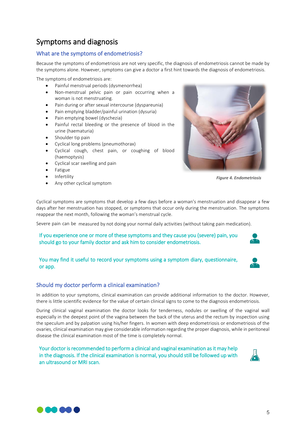# Symptoms and diagnosis

#### What are the symptoms of endometriosis?

Because the symptoms of endometriosis are not very specific, the diagnosis of endometriosis cannot be made by the symptoms alone. However, symptoms can give a doctor a first hint towards the diagnosis of endometriosis.

The symptoms of endometriosis are:

- Painful menstrual periods (dysmenorrhea)
- Non-menstrual pelvic pain or pain occurring when a woman is not menstruating.
- Pain during or after sexual intercourse (dyspareunia)
- Pain emptying bladder/painful urination (dysuria)
- Pain emptying bowel (dyschezia)
- Painful rectal bleeding or the presence of blood in the urine (haematuria)
- Shoulder tip pain
- Cyclical long problems (pneumothorax)
- Cyclical cough, chest pain, or coughing of blood (haemoptysis)
- Cyclical scar swelling and pain
- Fatigue
- Infertility
- Any other cyclical symptom



*Figure 4. Endometriosis* 

Cyclical symptoms are symptoms that develop a few days before a woman's menstruation and disappear a few days after her menstruation has stopped, or symptoms that occur only during the menstruation. The symptoms reappear the next month, following the woman's menstrual cycle.

Severe pain can be measured by not doing your normal daily activities (without taking pain medication).

If you experience one or more of these symptoms and they cause you (severe) pain, you should go to your family doctor and ask him to consider endometriosis.

#### You may find it useful to record your symptoms using a symptom diary, questionnaire, or app.

### Should my doctor perform a clinical examination?

In addition to your symptoms, clinical examination can provide additional information to the doctor. However, there is little scientific evidence for the value of certain clinical signs to come to the diagnosis endometriosis.

During clinical vaginal examination the doctor looks for tenderness, nodules or swelling of the vaginal wall especially in the deepest point of the vagina between the back of the uterus and the rectum by inspection using the speculum and by palpation using his/her fingers. In women with deep endometriosis or endometriosis of the ovaries, clinical examination may give considerable information regarding the proper diagnosis, while in peritoneal disease the clinical examination most of the time is completely normal.

Your doctor is recommended to perform a clinical and vaginal examination as it may help in the diagnosis. If the clinical examination is normal, you should still be followed up with an ultrasound or MRI scan.



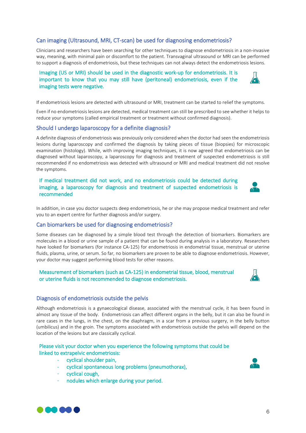#### Can imaging (Ultrasound, MRI, CT-scan) be used for diagnosing endometriosis?

Clinicians and researchers have been searching for other techniques to diagnose endometriosis in a non-invasive way, meaning, with minimal pain or discomfort to the patient. Transvaginal ultrasound or MRI can be performed to support a diagnosis of endometriosis, but these techniques can not always detect the endometriosis lesions.

#### Imaging (US or MRI) should be used in the diagnostic work-up for endometriosis. It is important to know that you may still have (peritoneal) endometriosis, even if the imaging tests were negative.

If endometriosis lesions are detected with ultrasound or MRI, treatment can be started to relief the symptoms.

Even if no endometriosis lesions are detected, medical treatment can still be prescribed to see whether it helps to reduce your symptoms (called empirical treatment or treatment without confirmed diagnosis).

#### Should I undergo laparoscopy for a definite diagnosis?

A definite diagnosis of endometriosis was previously only considered when the doctor had seen the endometriosis lesions during laparoscopy and confirmed the diagnosis by taking pieces of tissue (biopsies) for microscopic examination (histology). While, with improving imaging techniques, it is now agreed that endometriosis can be diagnosed without laparoscopy, a laparoscopy for diagnosis and treatment of suspected endometriosis is still recommended if no endometriosis was detected with ultrasound or MRI and medical treatment did not resolve the symptoms.

#### If medical treatment did not work, and no endometriosis could be detected during imaging, a laparoscopy for diagnosis and treatment of suspected endometriosis is recommended

In addition, in case you doctor suspects deep endometriosis, he or she may propose medical treatment and refer you to an expert centre for further diagnosis and/or surgery.

#### Can biomarkers be used for diagnosing endometriosis?

Some diseases can be diagnosed by a simple blood test through the detection of biomarkers. Biomarkers are molecules in a blood or urine sample of a patient that can be found during analysis in a laboratory. Researchers have looked for biomarkers (for instance CA-125) for endometriosis in endometrial tissue, menstrual or uterine fluids, plasma, urine, or serum. So far, no biomarkers are proven to be able to diagnose endometriosis. However, your doctor may suggest performing blood tests for other reasons.

#### Measurement of biomarkers (such as CA-125) in endometrial tissue, blood, menstrual or uterine fluids is not recommended to diagnose endometriosis.

#### Diagnosis of endometriosis outside the pelvis

Although endometriosis is a gynaecological disease, associated with the menstrual cycle, it has been found in almost any tissue of the body. Endometriosis can affect different organs in the belly, but it can also be found in rare cases in the lungs, in the chest, on the diaphragm, in a scar from a previous surgery, in the belly button (umbilicus) and in the groin. The symptoms associated with endometriosis outside the pelvis will depend on the location of the lesions but are classically cyclical.

#### Please visit your doctor when you experience the following symptoms that could be linked to extrapelvic endometriosis:

- cyclical shoulder pain,
- cyclical spontaneous long problems (pneumothorax),
- cyclical cough,
- nodules which enlarge during your period.







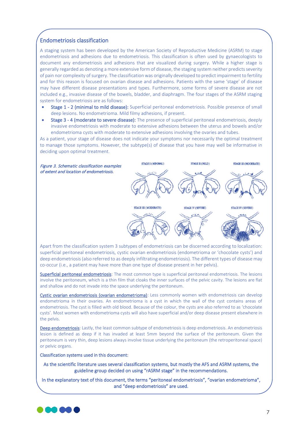#### Endometriosis classification

A staging system has been developed by the American Society of Reproductive Medicine (ASRM) to stage endometriosis and adhesions due to endometriosis. This classification is often used by gynaecologists to document any endometriosis and adhesions that are visualized during surgery. While a higher stage is generally regarded as denoting a more extensive form of disease, the staging system neither predicts severity of pain nor complexity of surgery. The classification was originally developed to predict impairment to fertility and for this reason is focused on ovarian disease and adhesions. Patients with the same 'stage' of disease may have different disease presentations and types. Furthermore, some forms of severe disease are not included e.g., invasive disease of the bowels, bladder, and diaphragm. The four stages of the ASRM staging system for endometriosis are as follows:

- Stage 1 2 (minimal to mild disease): Superficial peritoneal endometriosis. Possible presence of small deep lesions. No endometrioma. Mild filmy adhesions, if present.
- Stage 3 4 (moderate to severe disease): The presence of superficial peritoneal endometriosis, deeply invasive endometriosis with moderate to extensive adhesions between the uterus and bowels and/or endometrioma cysts with moderate to extensive adhesions involving the ovaries and tubes.

As a patient, your stage of disease does not indicate your symptoms nor necessarily the optimal treatment to manage those symptoms. However, the subtype(s) of disease that you have may well be informative in deciding upon optimal treatment.



Apart from the classification system 3 subtypes of endometriosis can be discerned according to localization: superficial peritoneal endometriosis, cystic ovarian endometriosis (endometrioma or 'chocolate cysts') and deep endometriosis (also referred to as deeply infiltrating endometriosis). The different types of disease may co-occur (i.e., a patient may have more than one type of disease present in her pelvis).

Superficial peritoneal endometriosis: The most common type is superficial peritoneal endometriosis. The lesions involve the peritoneum, which is a thin film that cloaks the inner surfaces of the pelvic cavity. The lesions are flat and shallow and do not invade into the space underlying the peritoneum.

Cystic ovarian endometriosis (ovarian endometrioma): Less commonly women with endometriosis can develop endometrioma in their ovaries. An endometrioma is a cyst in which the wall of the cyst contains areas of endometriosis. The cyst is filled with old blood. Because of the colour, the cysts are also referred to as 'chocolate cysts'. Most women with endometrioma cysts will also have superficial and/or deep disease present elsewhere in the pelvis.

Deep endometriosis: Lastly, the least common subtype of endometriosis is deep endometriosis. An endometriosis lesion is defined as deep if it has invaded at least 5mm beyond the surface of the peritoneum. Given the peritoneum is very thin, deep lesions always involve tissue underlying the peritoneum (the retroperitoneal space) or pelvic organs.

Classification systems used in this document:

As the scientific literature uses several classification systems, but mostly the AFS and ASRM systems, the guideline group decided on using "rASRM stage" in the recommendations.

In the explanatory text of this document, the terms "peritoneal endometriosis", "ovarian endometrioma", and "deep endometriosis" are used.

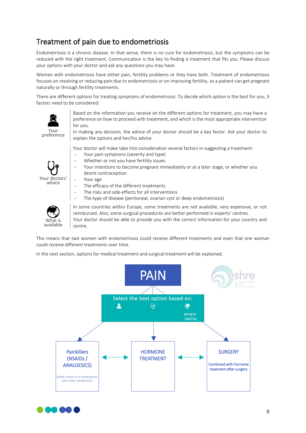# Treatment of pain due to endometriosis

Endometriosis is a chronic disease. In that sense, there is no cure for endometriosis, but the symptoms can be reduced with the right treatment. Communication is the key to finding a treatment that fits you. Please discuss your options with your doctor and ask any questions you may have.

Women with endometriosis have either pain, fertility problems or they have both. Treatment of endometriosis focuses on resolving or reducing pain due to endometriosis or on improving fertility, so a patient can get pregnant naturally or through fertility treatments.

There are different options for treating symptoms of endometriosis. To decide which option is the best for you, 3 factors need to be considered:



Based on the information you receive on the different options for treatment, you may have a preference on how to proceed with treatment, and which is the most appropriate intervention for you.

In making any decision, the advice of your doctor should be a key factor. Ask your doctor to explain the options and her/his advice.

Your doctor will make take into consideration several factors in suggesting a treatment:

- Your pain symptoms (severity and type)
- Whether or not you have fertility issues
- Your intentions to become pregnant immediately or at a later stage, or whether you desire contraception
- Your age
	- The efficacy of the different treatments
	- The risks and side-effects for all interventions
	- The type of disease (peritoneal, ovarian cyst or deep endometriosis)



Your doctors' advice

> In some countries within Europe, some treatments are not available, very expensive, or not reimbursed. Also, some surgical procedures are better performed in experts' centres. Your doctor should be able to provide you with the correct information for your country and centre.

This means that two women with endometriosis could receive different treatments and even that one woman could receive different treatments over time.

In the next section, options for medical treatment and surgical treatment will be explained.



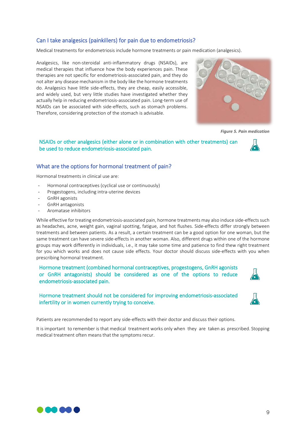#### Can I take analgesics (painkillers) for pain due to endometriosis?

Medical treatments for endometriosis include hormone treatments or pain medication (analgesics).

Analgesics, like non-steroidal anti-inflammatory drugs (NSAIDs), are medical therapies that influence how the body experiences pain. These therapies are not specific for endometriosis-associated pain, and they do not alter any disease mechanism in the body like the hormone treatments do. Analgesics have little side-effects, they are cheap, easily accessible, and widely used, but very little studies have investigated whether they actually help in reducing endometriosis-associated pain. Long-term use of NSAIDs can be associated with side-effects, such as stomach problems. Therefore, considering protection of the stomach is advisable.



*Figure 5. Pain medication*

NSAIDs or other analgesics (either alone or in combination with other treatments) can be used to reduce endometriosis-associated pain.

#### What are the options for hormonal treatment of pain?

Hormonal treatments in clinical use are:

- Hormonal contraceptives (cyclical use or continuously)
- Progestogens, including intra-uterine devices
- GnRH agonists
- GnRH antagonists
- Aromatase inhibitors

While effective for treating endometriosis-associated pain, hormone treatments may also induce side-effects such as headaches, acne, weight gain, vaginal spotting, fatigue, and hot flushes. Side-effects differ strongly between treatments and between patients. As a result, a certain treatment can be a good option for one woman, but the same treatment can have severe side-effects in another woman. Also, different drugs within one of the hormone groups may work differently in individuals, i.e., it may take some time and patience to find thew right treatment for you which works and does not cause side effects. Your doctor should discuss side-effects with you when prescribing hormonal treatment.

Hormone treatment (combined hormonal contraceptives, progestogens, GnRH agonists or GnRH antagonists) should be considered as one of the options to reduce endometriosis-associated pain.

Hormone treatment should not be considered for improving endometriosis-associated infertility or in women currently trying to conceive.

Patients are recommended to report any side-effects with their doctor and discuss their options.

It is important to remember is that medical treatment works only when they are taken as prescribed. Stopping medical treatment often means that the symptoms recur.



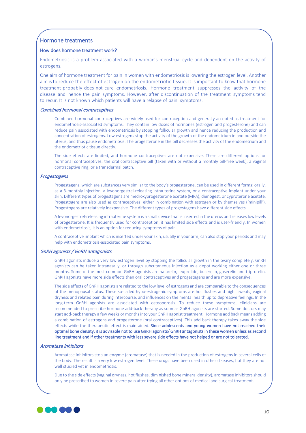#### Hormone treatments

#### How does hormone treatment work?

Endometriosis is a problem associated with a woman's menstrual cycle and dependent on the activity of estrogens.

One aim of hormone treatment for pain in women with endometriosis is lowering the estrogen level. Another aim is to reduce the effect of estrogen on the endometriotic tissue. It is important to know that hormone treatment probably does not cure endometriosis. Hormone treatment suppresses the activity of the disease and hence the pain symptoms. However, after discontinuation of the treatment symptoms tend to recur. It is not known which patients will have a relapse of pain symptoms.

#### Combined hormonal contraceptives

Combined hormonal contraceptives are widely used for contraception and generally accepted as treatment for endometriosis-associated symptoms. They contain low doses of hormones (estrogen and progesterone) and can reduce pain associated with endometriosis by stopping follicular growth and hence reducing the production and concentration of estrogens. Low estrogens stop the activity of the growth of the endometrium in and outside the uterus, and thus pause endometriosis. The progesterone in the pill decreases the activity of the endometrium and the endometriotic tissue directly.

The side effects are limited, and hormone contraceptives are not expensive. There are different options for hormonal contraceptives: the oral contraceptive pill (taken with or without a monthly pill-free week), a vaginal contraceptive ring, or a transdermal patch.

#### Progestogens

Progestagens, which are substances very similar to the body's progesterone, can be used in different forms: orally, as a 3-monthly injection, a levonorgestrel-releasing intrauterine system, or a contraceptive implant under your skin. Different types of progestagens are medroxyprogesterone acetate (MPA), dienogest, or cyproterone acetate. Progestogens are also used as contraceptives, either in combination with estrogen or by themselves ('minipill'). Progestogens are relatively inexpensive. The different types of progestagens have different side effects.

A levonorgestrel-releasing intrauterine system is a small device that is inserted in the uterus and releases low levels of progesterone. It is frequently used for contraception; it has limited side effects and is user-friendly. In women with endometriosis, it is an option for reducing symptoms of pain.

A contraceptive implant which is inserted under your skin, usually in your arm, can also stop your periods and may help with endometriosis-associated pain symptoms.

#### GnRH agonists / GnRH antagonists

GnRH agonists induce a very low estrogen level by stopping the follicular growth in the ovary completely. GnRH agonists can be taken intranasally, or through subcutaneous injection as a depot working either one or three months. Some of the most common GnRH agonists are nafarelin, leuprolide, buserelin, goserelin and triptorelin. GnRH agonists have more side effects than oral contraceptives and progestagens and are more expensive.

The side effects of GnRH agonists are related to the low level of estrogens and are comparable to the consequences of the menopausal status. These so-called hypo-estrogenic symptoms are hot flushes and night sweats, vaginal dryness and related pain during intercourse, and influences on the mental health up to depressive feelings. In the long-term GnRH agonists are associated with osteoporosis. To reduce these symptoms, clinicians are recommended to prescribe hormone add-back therapy as soon as GnRH agonists are started. Some doctors may start add-back therapy a few weeks or months into your GnRH agonist treatment. Hormone add back means adding a combination of estrogens and progesterone (oral contraceptives). This add back therapy takes away the side effects while the therapeutic effect is maintained. Since adolescents and young women have not reached their optimal bone density, it is advisable not to use GnRH agonists/ GnRH antagonists in these women unless as second line treatment and if other treatments with less severe side effects have not helped or are not tolerated.

#### Aromatase inhibitors

Aromatase inhibitors stop an enzyme (aromatase) that is needed in the production of estrogens in several cells of the body. The result is a very low estrogen level. These drugs have been used in other diseases, but they are not well studied yet in endometriosis.

Due to the side effects (vaginal dryness, hot flushes, diminished bone mineral density), aromatase inhibitors should only be prescribed to women in severe pain after trying all other options of medical and surgical treatment.

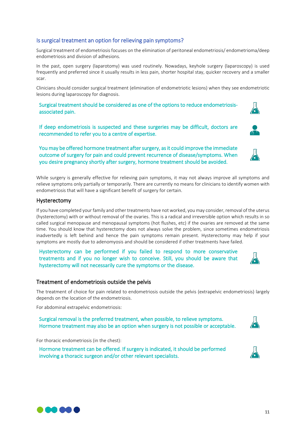### Is surgical treatment an option for relieving pain symptoms?

Surgical treatment of endometriosis focuses on the elimination of peritoneal endometriosis/ endometrioma/deep endometriosis and division of adhesions.

In the past, open surgery (laparotomy) was used routinely. Nowadays, keyhole surgery (laparoscopy) is used frequently and preferred since it usually results in less pain, shorter hospital stay, quicker recovery and a smaller scar.

Clinicians should consider surgical treatment (elimination of endometriotic lesions) when they see endometriotic lesions during laparoscopy for diagnosis.

Surgical treatment should be considered as one of the options to reduce endometriosisassociated pain.

If deep endometriosis is suspected and these surgeries may be difficult, doctors are recommended to refer you to a centre of expertise.

You may be offered hormone treatment after surgery, as it could improve the immediate outcome of surgery for pain and could prevent recurrence of disease/symptoms. When you desire pregnancy shortly after surgery, hormone treatment should be avoided.

While surgery is generally effective for relieving pain symptoms, it may not always improve all symptoms and relieve symptoms only partially or temporarily. There are currently no means for clinicians to identify women with endometriosis that will have a significant benefit of surgery for certain.

#### Hysterectomy

If you have completed your family and other treatments have not worked, you may consider, removal of the uterus (hysterectomy) with or without removal of the ovaries. This is a radical and irreversible option which results in so called surgical menopause and menopausal symptoms (hot flushes, etc) if the ovaries are removed at the same time. You should know that hysterectomy does not always solve the problem, since sometimes endometriosis inadvertedly is left behind and hence the pain symptoms remain present. Hysterectomy may help if your symptoms are mostly due to adenomyosis and should be considered if other treatments have failed.

Hysterectomy can be performed if you failed to respond to more conservative treatments and if you no longer wish to conceive. Still, you should be aware that hysterectomy will not necessarily cure the symptoms or the disease.

#### Treatment of endometriosis outside the pelvis

The treatment of choice for pain related to endometriosis outside the pelvis (extrapelvic endometriosis) largely depends on the location of the endometriosis.

For abdominal extrapelvic endometriosis:

Surgical removal is the preferred treatment, when possible, to relieve symptoms. Hormone treatment may also be an option when surgery is not possible or acceptable.

For thoracic endometriosis (in the chest):

**DADA** 

Hormone treatment can be offered. If surgery is indicated, it should be performed involving a thoracic surgeon and/or other relevant specialists.







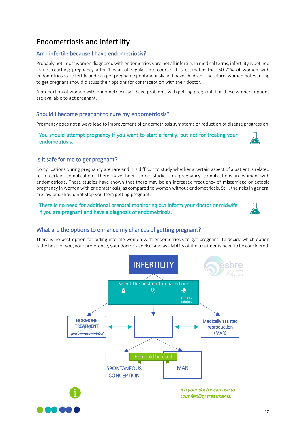# Endometriosis and infertility

#### Am I infertile because I have endometriosis?

Probably not, most women diagnosed with endometriosis are not all infertile. In medical terms, infertility is defined as not reaching pregnancy after 1 year of regular intercourse. It is estimated that 60-70% of women with endometriosis are fertile and can get pregnant spontaneously and have children. Therefore, women not wanting to get pregnant should discuss their options for contraception with their doctor.

A proportion of women with endometriosis will have problems with getting pregnant. For these women, options are available to get pregnant.

#### Should I become pregnant to cure my endometriosis?

Pregnancy does not always lead to improvement of endometriosis symptoms or reduction of disease progression.

#### You should attempt pregnancy if you want to start a family, but not for treating your endometriosis.



#### Is it safe for me to get pregnant?

Complications during pregnancy are rare and it is difficult to study whether a certain aspect of a patient is related to a certain complication. There have been some studies on pregnancy complications in women with endometriosis. These studies have shown that there may be an increased frequency of miscarriage or ectopic pregnancy in women with endometriosis, as compared to women without endometriosis. Still, the risks in general are low and should not stop you from getting pregnant.

#### There is no need for additional prenatal monitoring but inform your doctor or midwife if you are pregnant and have a diagnosis of endometriosis.



#### What are the options to enhance my chances of getting pregnant?

There is no best option for aiding infertile women with endometriosis to get pregnant. To decide which option is the best for you, your preference, your doctor's advice, and availability of the treatments need to be considered:

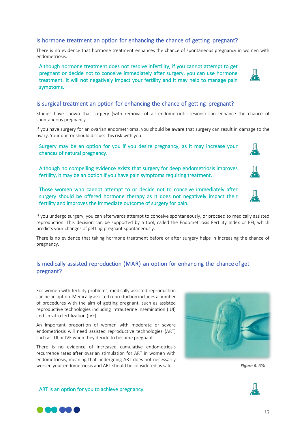### Is hormone treatment an option for enhancing the chance of getting pregnant?

There is no evidence that hormone treatment enhances the chance of spontaneous pregnancy in women with endometriosis.

Although hormone treatment does not resolve infertility, if you cannot attempt to get pregnant or decide not to conceive immediately after surgery, you can use hormone treatment. It will not negatively impact your fertility and it may help to manage pain symptoms.

#### Is surgical treatment an option for enhancing the chance of getting pregnant?

Studies have shown that surgery (with removal of all endometriotic lesions) can enhance the chance of spontaneous pregnancy.

If you have surgery for an ovarian endometrioma, you should be aware that surgery can result in damage to the ovary. Your doctor should discuss this risk with you.

#### Surgery may be an option for you if you desire pregnancy, as it may increase your chances of natural pregnancy.

Although no compelling evidence exists that surgery for deep endometriosis improves fertility, it may be an option if you have pain symptoms requiring treatment.

Those women who cannot attempt to or decide not to conceive immediately after surgery should be offered hormone therapy as it does not negatively impact their fertility and improves the immediate outcome of surgery for pain.

If you undergo surgery, you can afterwards attempt to conceive spontaneously, or proceed to medically assisted reproduction. This decision can be supported by a tool, called the Endometriosis Fertility Index or EFI, which predicts your changes of getting pregnant spontaneously.

There is no evidence that taking hormone treatment before or after surgery helps in increasing the chance of pregnancy.

### Is medically assisted reproduction (MAR) an option for enhancing the chance of get pregnant?

For women with fertility problems, medically assisted reproduction can be an option. Medically assisted reproduction includes a number of procedures with the aim of getting pregnant, such as assisted reproductive technologies including intrauterine insemination (IUI) and in vitro fertilization (IVF).

An important proportion of women with moderate or severe endometriosis will need assisted reproductive technologies (ART) such as IUI or IVF when they decide to become pregnant.

There is no evidence of increased cumulative endometriosis recurrence rates after ovarian stimulation for ART in women with endometriosis, meaning that undergoing ART does not necessarily worsen your endometriosis and ART should be considered as safe. **Figure 6. ICSI** Figure 6. ICSI

ART is an option for you to achieve pregnancy.

**Maria** 













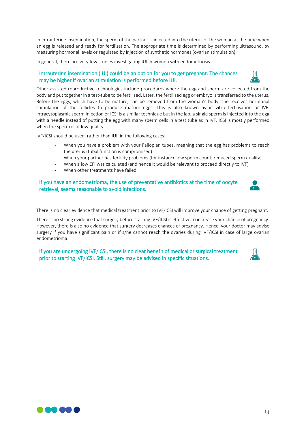In intrauterine insemination, the sperm of the partner is injected into the uterus of the woman at the time when an egg is released and ready for fertilisation. The appropriate time is determined by performing ultrasound, by measuring hormonal levels or regulated by injection of synthetic hormones (ovarian stimulation).

In general, there are very few studies investigating IUI in women with endometriosis.

#### Intrauterine insemination (IUI) could be an option for you to get pregnant. The chances may be higher if ovarian stimulation is performed before IUI.



IVF/ICSI should be used, rather than IUI, in the following cases:

- When you have a problem with your Fallopian tubes, meaning that the egg has problems to reach the uterus (tubal function is compromised)
- When your partner has fertility problems (for instance low sperm count, reduced sperm quality)
- When a low EFI was calculated (and hence it would be relevant to proceed directly to IVF)
- When other treatments have failed

#### If you have an endometrioma, the use of preventative antibiotics at the time of oocyte retrieval, seems reasonable to avoid infections.

There is no clear evidence that medical treatment prior to IVF/ICSI will improve your chance of getting pregnant.

There is no strong evidence that surgery before starting IVF/ICSI is effective to increase your chance of pregnancy. However, there is also no evidence that surgery decreases chances of pregnancy. Hence, your doctor may advise surgery if you have significant pain or if s/he cannot reach the ovaries during IVF/ICSI in case of large ovarian endometrioma.

If you are undergoing IVF/ICSI, there is no clear benefit of medical or surgical treatment prior to starting IVF/ICSI. Still, surgery may be advised in specific situations.



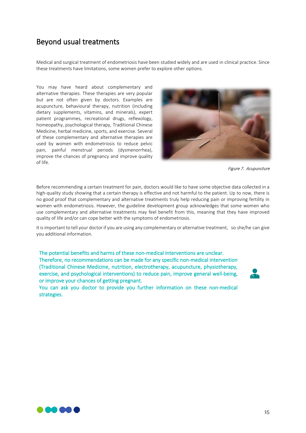# Beyond usual treatments

Medical and surgical treatment of endometriosis have been studied widely and are used in clinical practice. Since these treatments have limitations, some women prefer to explore other options.

You may have heard about complementary and alternative therapies. These therapies are very popular but are not often given by doctors. Examples are acupuncture, behavioural therapy, nutrition (including dietary supplements, vitamins, and minerals), expert patient programmes, recreational drugs, reflexology, homeopathy, psychological therapy, Traditional Chinese Medicine, herbal medicine, sports, and exercise. Several of these complementary and alternative therapies are used by women with endometriosis to reduce pelvic pain, painful menstrual periods (dysmenorrhea), improve the chances of pregnancy and improve quality of life.



Figure 7. Acupuncture

Before recommending a certain treatment for pain, doctors would like to have some objective data collected in a high-quality study showing that a certain therapy is effective and not harmful to the patient. Up to now, there is no good proof that complementary and alternative treatments truly help reducing pain or improving fertility in women with endometriosis. However, the guideline development group acknowledges that some women who use complementary and alternative treatments may feel benefit from this, meaning that they have improved quality of life and/or can cope better with the symptoms of endometriosis.

It is important to tell your doctor if you are using any complementary or alternative treatment, so she/he can give you additional information.

The potential benefits and harms of these non-medical interventions are unclear. Therefore, no recommendations can be made for any specific non-medical intervention (Traditional Chinese Medicine, nutrition, electrotherapy, acupuncture, physiotherapy, exercise, and psychological interventions) to reduce pain, improve general well-being, or improve your chances of getting pregnant.

You can ask you doctor to provide you further information on these non-medical strategies.



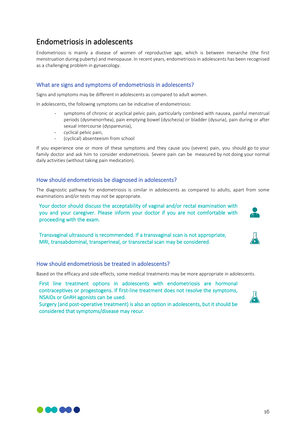# Endometriosis in adolescents

Endometriosis is mainly a disease of women of reproductive age, which is between menarche (the first menstruation during puberty) and menopause. In recent years, endometriosis in adolescents has been recognised as a challenging problem in gynaecology.

#### What are signs and symptoms of endometriosis in adolescents?

Signs and symptoms may be different in adolescents as compared to adult women.

In adolescents, the following symptoms can be indicative of endometriosis:

- symptoms of chronic or acyclical pelvic pain, particularly combined with nausea, painful menstrual periods (dysmenorrhea), pain emptying bowel (dyschezia) or bladder (dysuria), pain during or after sexual intercourse (dyspareunia),
- cyclical pelvic pain,
- (cyclical) absenteeism from school

If you experience one or more of these symptoms and they cause you (severe) pain, you should go to your family doctor and ask him to consider endometriosis. Severe pain can be measured by not doing your normal daily activities (without taking pain medication).

#### How should endometriosis be diagnosed in adolescents?

The diagnostic pathway for endometriosis is similar in adolescents as compared to adults, apart from some examinations and/or tests may not be appropriate.

Your doctor should discuss the acceptability of vaginal and/or rectal examination with you and your caregiver. Please inform your doctor if you are not comfortable with proceeding with the exam.

Transvaginal ultrasound is recommended. If a transvaginal scan is not appropriate, MRI, transabdominal, transperineal, or transrectal scan may be considered.

#### How should endometriosis be treated in adolescents?

Based on the efficacy and side-effects, some medical treatments may be more appropriate in adolescents.

First line treatment options in adolescents with endometriosis are hormonal contraceptives or progestogens. If first-line treatment does not resolve the symptoms, NSAIDs or GnRH agonists can be used.

Surgery (and post-operative treatment) is also an option in adolescents, but it should be considered that symptoms/disease may recur.



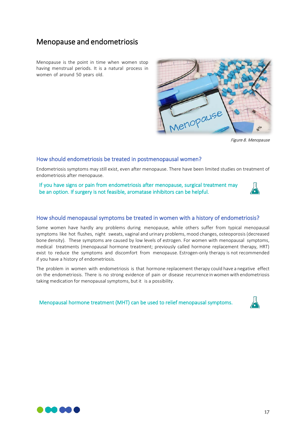# Menopause and endometriosis

Menopause is the point in time when women stop having menstrual periods. It is a natural process in women of around 50 years old.



Figure 8. Menopause

#### How should endometriosis be treated in postmenopausal women?

Endometriosis symptoms may still exist, even after menopause. There have been limited studies on treatment of endometriosis after menopause.

If you have signs or pain from endometriosis after menopause, surgical treatment may be an option. If surgery is not feasible, aromatase inhibitors can be helpful.

#### How should menopausal symptoms be treated in women with a history of endometriosis?

Some women have hardly any problems during menopause, while others suffer from typical menopausal symptoms like hot flushes, night sweats, vaginal and urinary problems, mood changes, osteoporosis (decreased bone density). These symptoms are caused by low levels of estrogen. For women with menopausal symptoms, medical treatments (menopausal hormone treatment; previously called hormone replacement therapy, HRT) exist to reduce the symptoms and discomfort from menopause. Estrogen-only therapy is not recommended if you have a history of endometriosis.

The problem in women with endometriosis is that hormone replacement therapy could have a negative effect on the endometriosis. There is no strong evidence of pain or disease recurrence inwomenwith endometriosis taking medication for menopausal symptoms, but it is a possibility.

Menopausal hormone treatment (MHT) can be used to relief menopausal symptoms.



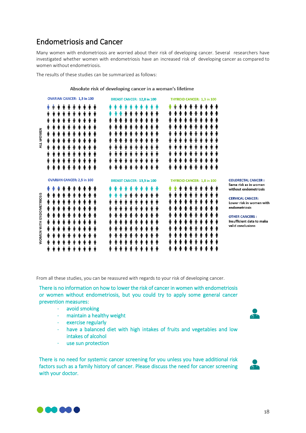# Endometriosis and Cancer

Many women with endometriosis are worried about their risk of developing cancer. Several researchers have investigated whether women with endometriosis have an increased risk of developing cancer as compared to women without endometriosis.

The results of these studies can be summarized as follows:

Absolute risk of developing cancer in a woman's lifetime

|                                 | <b>OVARIAN CANCER: 1,3 in 100</b>                                                                          | <b>BREAST CANCER: 12,8 in 100</b>                                                                      | <b>THYROID CANCER: 1,3 in 100</b>                              |                                                                                                                                                                                                                                |
|---------------------------------|------------------------------------------------------------------------------------------------------------|--------------------------------------------------------------------------------------------------------|----------------------------------------------------------------|--------------------------------------------------------------------------------------------------------------------------------------------------------------------------------------------------------------------------------|
| ALL WOMEN                       | Ŧ<br>♠<br>Ŧ<br>Ŧ<br>₽<br>Ŧ<br>↟<br>Ŧ<br>Ŧ<br>Ŧ<br>Ŧ<br>↟<br>Ŧ<br>↟<br>↟<br>Ŧ<br>↟<br>↟<br>Ŧ<br>Ŧ<br>Ŧ<br>Ŧ | 4<br>Ŧ<br>Ŧ<br>Ŧ<br>Ŧ<br>Ŧ<br>Ŧ<br>Ŧ<br>Ŧ<br>Ŧ<br>Ŧ<br>♠<br>Ŧ<br>一个<br>Ŧ<br>Ŧ<br>Ŧ<br>Ŧ<br>Ŧ<br>Ŧ<br>Ŧ | Ŧ<br>Ŧ<br>奢<br>奢<br>Ŧ<br>一个<br>Ŧ<br>Ŧ<br>Ŧ<br>Ŧ<br>Ŧ<br>Ŧ<br>Ŧ |                                                                                                                                                                                                                                |
| <b>WOMEN WITH ENDOMETRIOSIS</b> | <b>OVARIAN CANCER: 2,5 in 100</b><br>Ŧ<br>↟<br>Ŧ<br>帶<br>Ŧ<br>Ŧ<br>Ŧ<br>奢<br>Ŧ<br>Ŧ<br>Ŧ<br>Ŧ              | <b>BREAST CANCER: 13,3 in 100</b><br>Ŧ<br>Ŧ<br>Ŧ<br>Ŧ<br>Ŧ<br>Ŧ<br>↟<br>↟                              | THYROID CANCER: 1,8 in 100<br>Ŧ<br>Ŧ<br>Ŧ<br>Ŧ<br>Ŧ<br>Ŧ       | <b>COLORECTAL CANCER:</b><br>Same risk as in women<br>without endometriosis<br><b>CERVICAL CANCER:</b><br>Lower risk in women with<br>endometriosis<br><b>OTHER CANCERS:</b><br>Insufficient data to make<br>valid conclusions |

From all these studies, you can be reassured with regards to your risk of developing cancer.

There is no information on how to lower the risk of cancer in women with endometriosis or women without endometriosis, but you could try to apply some general cancer prevention measures:

- avoid smoking
- maintain a healthy weight
- exercise regularly
- have a balanced diet with high intakes of fruits and vegetables and low intakes of alcohol
- use sun protection

There is no need for systemic cancer screening for you unless you have additional risk factors such as a family history of cancer. Please discuss the need for cancer screening with your doctor.





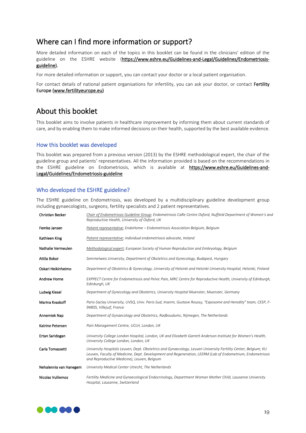# Where can I find more information or support?

More detailed information on each of the topics in this booklet can be found in the clinicians' edition of the guideline on the ESHRE website (https://www.eshre.eu/Guidelines-and-Legal/Guidelines/Endometriosisguideline).

For more detailed information or support, you can contact your doctor or a local patient organisation.

For contact details of national patient organisations for infertility, you can ask your doctor, or contact Fertility Europe (www.fertilityeurope.eu)

# About this booklet

This booklet aims to involve patients in healthcare improvement by informing them about current standards of care, and by enabling them to make informed decisions on their health, supported by the best available evidence.

#### How this booklet was developed

This booklet was prepared from a previous version (2013) by the ESHRE methodological expert, the chair of the guideline group and patients' representatives. All the information provided is based on the recommendations in the ESHRE guideline on Endometriosis, which is available at https://www.eshre.eu/Guidelines-and-Legal/Guidelines/Endometriosis-guideline

#### Who developed the ESHRE guideline?

The ESHRE guideline on Endometriosis, was developed by a multidisciplinary guideline development group including gynaecologists, surgeons, fertility specialists and 2 patient representatives.

| Christian Becker       | Chair of Endometriosis Guideline Group; Endometriosis CaRe Centre Oxford, Nuffield Department of Women's and<br>Reproductive Health, University of Oxford, UK                                                                                                              |  |
|------------------------|----------------------------------------------------------------------------------------------------------------------------------------------------------------------------------------------------------------------------------------------------------------------------|--|
| Femke Jansen           | Patient representative; EndoHome – Endometriosis Association Belgium, Belgium                                                                                                                                                                                              |  |
| Kathleen King          | Patient representative; Individual endometriosis advocate, Ireland                                                                                                                                                                                                         |  |
| Nathalie Vermeulen     | Methodological expert; European Society of Human Reproduction and Embryology, Belgium                                                                                                                                                                                      |  |
| Attila Bokor           | Semmelweis University, Department of Obstetrics and Gynecology, Budapest, Hungary                                                                                                                                                                                          |  |
| Oskari Heikinheimo     | Department of Obstetrics & Gynecology, University of Helsinki and Helsinki University Hospital, Helsinki, Finland                                                                                                                                                          |  |
| <b>Andrew Horne</b>    | EXPPECT Centre for Endometriosis and Pelvic Pain, MRC Centre for Reproductive Health, University of Edinburgh,<br>Edinburgh, UK                                                                                                                                            |  |
| Ludwig Kiesel          | Department of Gynecology and Obstetrics, University Hospital Muenster, Muenster, Germany                                                                                                                                                                                   |  |
| Marina Kvaskoff        | Paris-Saclay University, UVSQ, Univ. Paris-Sud, Inserm, Gustave Roussy, "Exposome and Heredity" team, CESP, F-<br>94805, Villejuif, France                                                                                                                                 |  |
| Annemiek Nap           | Department of Gynaecology and Obstetrics, Radboudumc, Nijmegen, The Netherlands                                                                                                                                                                                            |  |
| Katrine Petersen       | Pain Management Centre, UCLH, London, UK                                                                                                                                                                                                                                   |  |
| Ertan Saridogan        | University College London Hospital, London, UK and Elizabeth Garrett Anderson Institute for Women's Health,<br>University College London, London, UK                                                                                                                       |  |
| Carla Tomassetti       | University Hospitals Leuven, Dept. Obstetrics and Gynaecology, Leuven University Fertility Center, Belgium; KU<br>Leuven, Faculty of Medicine, Dept. Development and Regeneration, LEERM (Lab of Endometrium, Endometriosis<br>and Reproductive Medicine), Leuven, Belgium |  |
| Nehalennia van Hanegem | University Medical Center Utrecht, The Netherlands                                                                                                                                                                                                                         |  |
| Nicolas Vulliemoz      | Fertility Medicine and Gynaecological Endocrinology, Department Woman Mother Child, Lausanne University<br>Hospital, Lausanne, Switzerland                                                                                                                                 |  |

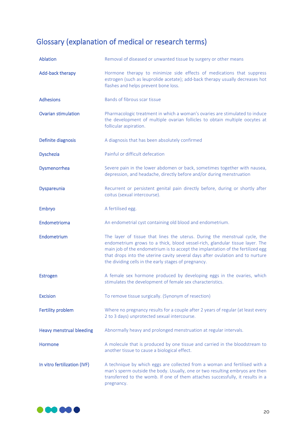# Glossary (explanation of medical or research terms)

| <b>Ablation</b>                 | Removal of diseased or unwanted tissue by surgery or other means                                                                                                                                                                                                                                                                                                                        |
|---------------------------------|-----------------------------------------------------------------------------------------------------------------------------------------------------------------------------------------------------------------------------------------------------------------------------------------------------------------------------------------------------------------------------------------|
| <b>Add-back therapy</b>         | Hormone therapy to minimize side effects of medications that suppress<br>estrogen (such as leuprolide acetate); add-back therapy usually decreases hot<br>flashes and helps prevent bone loss.                                                                                                                                                                                          |
| <b>Adhesions</b>                | Bands of fibrous scar tissue                                                                                                                                                                                                                                                                                                                                                            |
| <b>Ovarian stimulation</b>      | Pharmacologic treatment in which a woman's ovaries are stimulated to induce<br>the development of multiple ovarian follicles to obtain multiple oocytes at<br>follicular aspiration.                                                                                                                                                                                                    |
| Definite diagnosis              | A diagnosis that has been absolutely confirmed                                                                                                                                                                                                                                                                                                                                          |
| <b>Dyschezia</b>                | Painful or difficult defecation                                                                                                                                                                                                                                                                                                                                                         |
| Dysmenorrhea                    | Severe pain in the lower abdomen or back, sometimes together with nausea,<br>depression, and headache, directly before and/or during menstruation                                                                                                                                                                                                                                       |
| <b>Dyspareunia</b>              | Recurrent or persistent genital pain directly before, during or shortly after<br>coitus (sexual intercourse).                                                                                                                                                                                                                                                                           |
| Embryo                          | A fertilised egg.                                                                                                                                                                                                                                                                                                                                                                       |
| Endometrioma                    | An endometrial cyst containing old blood and endometrium.                                                                                                                                                                                                                                                                                                                               |
| Endometrium                     | The layer of tissue that lines the uterus. During the menstrual cycle, the<br>endometrium grows to a thick, blood vessel-rich, glandular tissue layer. The<br>main job of the endometrium is to accept the implantation of the fertilized egg<br>that drops into the uterine cavity several days after ovulation and to nurture<br>the dividing cells in the early stages of pregnancy. |
| <b>Estrogen</b>                 | A female sex hormone produced by developing eggs in the ovaries, which<br>stimulates the development of female sex characteristics.                                                                                                                                                                                                                                                     |
| <b>Excision</b>                 | To remove tissue surgically. (Synonym of resection)                                                                                                                                                                                                                                                                                                                                     |
| <b>Fertility problem</b>        | Where no pregnancy results for a couple after 2 years of regular (at least every<br>2 to 3 days) unprotected sexual intercourse.                                                                                                                                                                                                                                                        |
| <b>Heavy menstrual bleeding</b> | Abnormally heavy and prolonged menstruation at regular intervals.                                                                                                                                                                                                                                                                                                                       |
| Hormone                         | A molecule that is produced by one tissue and carried in the bloodstream to<br>another tissue to cause a biological effect.                                                                                                                                                                                                                                                             |
| In vitro fertilization (IVF)    | A technique by which eggs are collected from a woman and fertilised with a<br>man's sperm outside the body. Usually, one or two resulting embryos are then<br>transferred to the womb. If one of them attaches successfully, it results in a<br>pregnancy.                                                                                                                              |

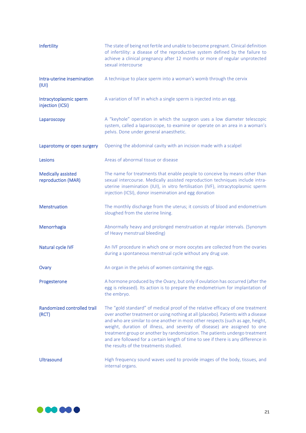| Infertility                                     | The state of being not fertile and unable to become pregnant. Clinical definition<br>of infertility: a disease of the reproductive system defined by the failure to<br>achieve a clinical pregnancy after 12 months or more of regular unprotected<br>sexual intercourse                                                                                                                                                                                                                                                                           |
|-------------------------------------------------|----------------------------------------------------------------------------------------------------------------------------------------------------------------------------------------------------------------------------------------------------------------------------------------------------------------------------------------------------------------------------------------------------------------------------------------------------------------------------------------------------------------------------------------------------|
| Intra-uterine insemination<br>(III)             | A technique to place sperm into a woman's womb through the cervix                                                                                                                                                                                                                                                                                                                                                                                                                                                                                  |
| Intracytoplasmic sperm<br>injection (ICSI)      | A variation of IVF in which a single sperm is injected into an egg.                                                                                                                                                                                                                                                                                                                                                                                                                                                                                |
| Laparoscopy                                     | A "keyhole" operation in which the surgeon uses a low diameter telescopic<br>system, called a laparoscope, to examine or operate on an area in a woman's<br>pelvis. Done under general anaesthetic.                                                                                                                                                                                                                                                                                                                                                |
| Laparotomy or open surgery                      | Opening the abdominal cavity with an incision made with a scalpel                                                                                                                                                                                                                                                                                                                                                                                                                                                                                  |
| Lesions                                         | Areas of abnormal tissue or disease                                                                                                                                                                                                                                                                                                                                                                                                                                                                                                                |
| <b>Medically assisted</b><br>reproduction (MAR) | The name for treatments that enable people to conceive by means other than<br>sexual intercourse. Medically assisted reproduction techniques include intra-<br>uterine insemination (IUI), in vitro fertilisation (IVF), intracytoplasmic sperm<br>injection (ICSI), donor insemination and egg donation                                                                                                                                                                                                                                           |
| <b>Menstruation</b>                             | The monthly discharge from the uterus; it consists of blood and endometrium<br>sloughed from the uterine lining.                                                                                                                                                                                                                                                                                                                                                                                                                                   |
| Menorrhagia                                     | Abnormally heavy and prolonged menstruation at regular intervals. (Synonym<br>of Heavy menstrual bleeding)                                                                                                                                                                                                                                                                                                                                                                                                                                         |
| Natural cycle IVF                               | An IVF procedure in which one or more oocytes are collected from the ovaries<br>during a spontaneous menstrual cycle without any drug use.                                                                                                                                                                                                                                                                                                                                                                                                         |
| Ovary                                           | An organ in the pelvis of women containing the eggs.                                                                                                                                                                                                                                                                                                                                                                                                                                                                                               |
| Progesterone                                    | A hormone produced by the Ovary, but only if ovulation has occurred (after the<br>egg is released). Its action is to prepare the endometrium for implantation of<br>the embryo.                                                                                                                                                                                                                                                                                                                                                                    |
| <b>Randomized controlled trail</b><br>(RCT)     | The "gold standard" of medical proof of the relative efficacy of one treatment<br>over another treatment or using nothing at all (placebo). Patients with a disease<br>and who are similar to one another in most other respects (such as age, height,<br>weight, duration of illness, and severity of disease) are assigned to one<br>treatment group or another by randomization. The patients undergo treatment<br>and are followed for a certain length of time to see if there is any difference in<br>the results of the treatments studied. |
| Ultrasound                                      | High frequency sound waves used to provide images of the body, tissues, and<br>internal organs.                                                                                                                                                                                                                                                                                                                                                                                                                                                    |